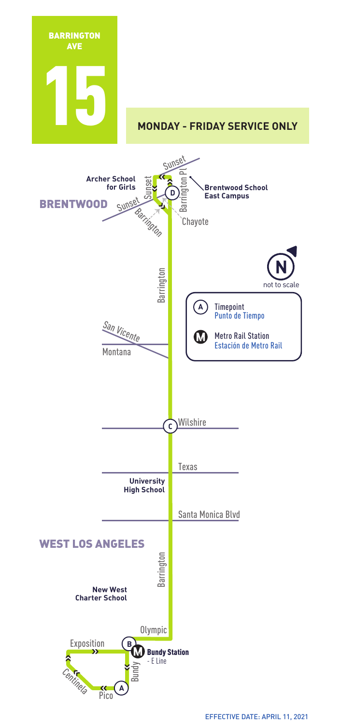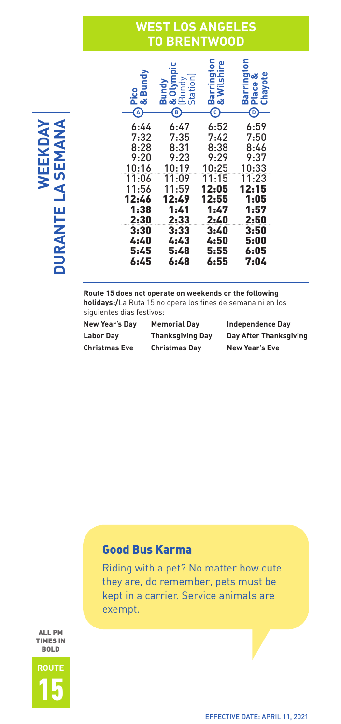### **WEST LOS ANGELES TO BRENTWOOD**

| ខូតី<br>آه ⊇ً<br>A | สี<br>Ξ<br>o ⊐ ಹ<br><b>ಚ</b> ⊞ಹ<br>B | ω<br>ന് ഹ<br><u>رم</u> | ٩<br>య<br>ø<br>ឨ<br>Barı<br>Cha<br>څ<br>D |
|--------------------|--------------------------------------|------------------------|-------------------------------------------|
| 6:44               | 6:47                                 | 6:52                   | 6:59                                      |
| 7:32               | 7:35                                 | 7:42                   | 7:50                                      |
| 8:28               | 8:31                                 | 8:38                   | 8:46                                      |
| 9:20               | 9:23                                 | 9:29                   | 9:37                                      |
| 10:16              | 10:19                                | 10:25                  | 10:33                                     |
| 11:06              | 11:09                                | 11:15                  | 11:23                                     |
| 11:56              | 11:59                                | 12:05                  | 12:15                                     |
| 12:46              | 12:49                                | 12:55                  | 1:05                                      |
| 1:38               | 1:41                                 | 1:47                   | 1:57                                      |
| 2:30               | 2:33                                 | 2:40                   | 2:50                                      |
| 3:30               | 3:33                                 | 3:40                   | 3:50                                      |
| 4:40               | 4:43                                 | 4:50                   | 5:00                                      |
| 5:45               | 5:48                                 | 5:55                   | 6:05                                      |
| 6:45               | 6:48                                 | 6:55                   | 7:04                                      |

**Route 15 does not operate on weekends or the following holidays:/**La Ruta 15 no opera los fines de semana ni en los siguientes días festivos:

| New Year's Day       | <b>Memorial Dav</b>     | <b>Independence Dav</b> |
|----------------------|-------------------------|-------------------------|
| <b>Labor Dav</b>     | <b>Thanksgiving Day</b> | Day After Thanksgiving  |
| <b>Christmas Eve</b> | <b>Christmas Dav</b>    | <b>New Year's Eve</b>   |

#### Good Bus Karma

Riding with a pet? No matter how cute they are, do remember, pets must be kept in a carrier. Service animals are exempt.

ALL PM TIMES IN BREEKDAY<br>BRANTE LA SEMANA<br>FRANCIS

**DURANTE LA SEMANA** 

WEEKDAY

## **ROUTE** 15

EFFECTIVE DATE: APRIL 11, 2021